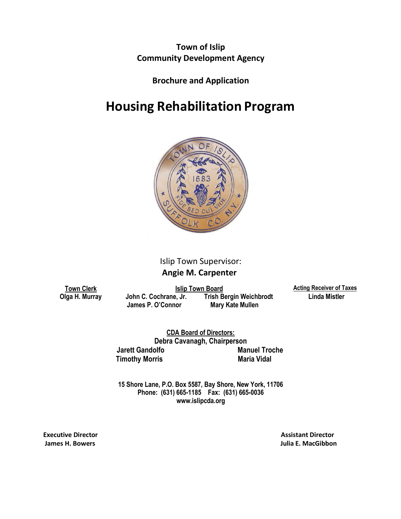**Town of Islip Community Development Agency**

**Brochure and Application**

## **Housing Rehabilitation Program**



## Islip Town Supervisor:

 **Angie M. Carpenter**

**Town Clerk Islip Town Board Acting Receiver of Taxes Olga H. Murray John C. Cochrane, Jr. Trish Bergin Weichbrodt Linda Mistler James P. O'Connor Mary Kate Mullen**

**Jarett Gandolfo Manuel Troche Timothy Morris Maria Vidal CDA Board of Directors: Debra Cavanagh, Chairperson**

**15 Shore Lane, P.O. Box 5587, Bay Shore, New York, 11706 Phone: (631) 665-1185 Fax: (631) 665-003[6](http://www.islipcda.org/) [www.islipcda.org](http://www.islipcda.org/)**

**Executive Director Assistant Director**

**James H. Bowers Julia E. MacGibbon**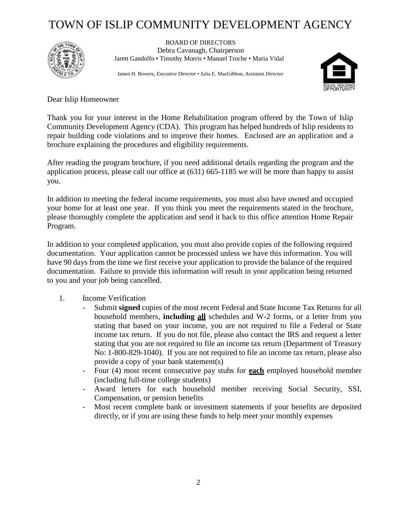# TOWN OF ISLIP COMMUNITY DEVELOPMENT AGENCY



BOARD OF DIRECTORS Debra Cavanagh, Chairperson Jarett Gandolfo • Timothy Morris • Manuel Troche • Maria Vidal

James H. Bowers, *Executive Director* • Julia E. MacGibbon, *Assistant Director*



Dear Islip Homeowner

Thank you for your interest in the Home Rehabilitation program offered by the Town of Islip Community Development Agency (CDA). This program has helped hundreds of Islip residents to repair building code violations and to improve their homes. Enclosed are an application and a brochure explaining the procedures and eligibility requirements.

After reading the program brochure, if you need additional details regarding the program and the application process, please call our office at (631) 665-1185 we will be more than happy to assist you.

In addition to meeting the federal income requirements, you must also have owned and occupied your home for at least one year. If you think you meet the requirements stated in the brochure, please thoroughly complete the application and send it back to this office attention Home Repair Program.

In addition to your completed application, you must also provide copies of the following required documentation. Your application cannot be processed unless we have this information. You will have 90 days from the time we first receive your application to provide the balance of the required documentation. Failure to provide this information will result in your application being returned to you and your job being cancelled.

#### 1. Income Verification

- Submit **signed** copies of the most recent Federal and State Income Tax Returns for all household members, **including all** schedules and W-2 forms, or a letter from you stating that based on your income, you are not required to file a Federal or State income tax return. If you do not file, please also contact the IRS and request a letter stating that you are not required to file an income tax return (Department of Treasury No: 1-800-829-1040). If you are not required to file an income tax return, please also provide a copy of your bank statement(s)
- Four (4) most recent consecutive pay stubs for **each** employed household member (including full-time college students)
- Award letters for each household member receiving Social Security, SSI, Compensation, or pension benefits
- Most recent complete bank or investment statements if your benefits are deposited directly, or if you are using these funds to help meet your monthly expenses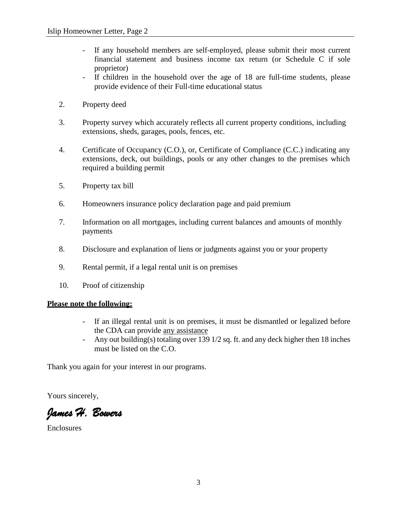- If any household members are self-employed, please submit their most current financial statement and business income tax return (or Schedule C if sole proprietor)
- If children in the household over the age of 18 are full-time students, please provide evidence of their Full-time educational status
- 2. Property deed
- 3. Property survey which accurately reflects all current property conditions, including extensions, sheds, garages, pools, fences, etc.
- 4. Certificate of Occupancy (C.O.), or, Certificate of Compliance (C.C.) indicating any extensions, deck, out buildings, pools or any other changes to the premises which required a building permit
- 5. Property tax bill
- 6. Homeowners insurance policy declaration page and paid premium
- 7. Information on all mortgages, including current balances and amounts of monthly payments
- 8. Disclosure and explanation of liens or judgments against you or your property
- 9. Rental permit, if a legal rental unit is on premises
- 10. Proof of citizenship

#### **Please note the following:**

- If an illegal rental unit is on premises, it must be dismantled or legalized before the CDA can provide any assistance
- Any out building(s) totaling over 139 1/2 sq. ft. and any deck higher then 18 inches must be listed on the C.O.

Thank you again for your interest in our programs.

Yours sincerely,

*James H. Bowers* 

Enclosures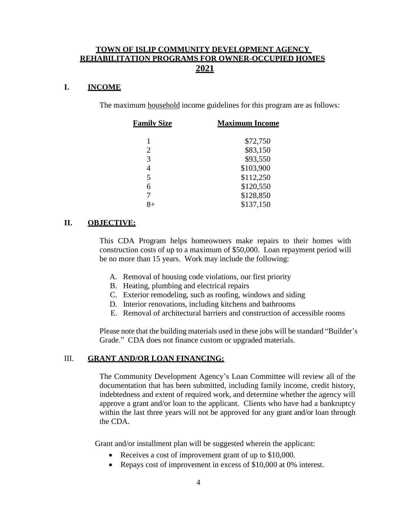#### **TOWN OF ISLIP COMMUNITY DEVELOPMENT AGENCY REHABILITATION PROGRAMS FOR OWNER-OCCUPIED HOMES 2021**

#### **I. INCOME**

The maximum household income guidelines for this program are as follows:

| <u>Family Size</u> | <b>Maximum Income</b> |  |  |  |  |
|--------------------|-----------------------|--|--|--|--|
|                    | \$72,750              |  |  |  |  |
| 2                  | \$83,150              |  |  |  |  |
| 3                  | \$93,550              |  |  |  |  |
| 4                  | \$103,900             |  |  |  |  |
| 5                  | \$112,250             |  |  |  |  |
| 6                  | \$120,550             |  |  |  |  |
|                    | \$128,850             |  |  |  |  |
|                    | \$137,150             |  |  |  |  |

#### **II. OBJECTIVE:**

This CDA Program helps homeowners make repairs to their homes with construction costs of up to a maximum of \$50,000. Loan repayment period will be no more than 15 years. Work may include the following:

- A. Removal of housing code violations, our first priority
- B. Heating, plumbing and electrical repairs
- C. Exterior remodeling, such as roofing, windows and siding
- D. Interior renovations, including kitchens and bathrooms
- E. Removal of architectural barriers and construction of accessible rooms

Please note that the building materials used in these jobs will be standard "Builder's Grade." CDA does not finance custom or upgraded materials.

#### III. **GRANT AND/OR LOAN FINANCING:**

The Community Development Agency's Loan Committee will review all of the documentation that has been submitted, including family income, credit history, indebtedness and extent of required work, and determine whether the agency will approve a grant and/or loan to the applicant. Clients who have had a bankruptcy within the last three years will not be approved for any grant and/or loan through the CDA.

Grant and/or installment plan will be suggested wherein the applicant:

- Receives a cost of improvement grant of up to \$10,000.
- Repays cost of improvement in excess of \$10,000 at 0% interest.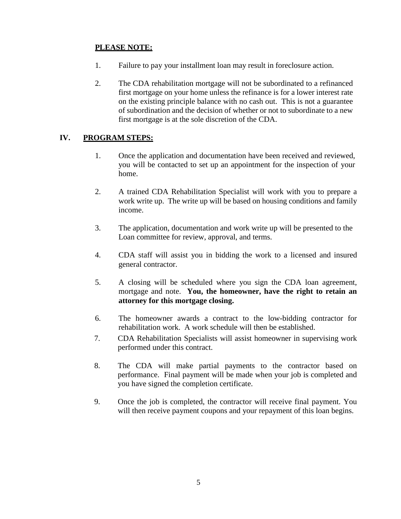### **PLEASE NOTE:**

- 1. Failure to pay your installment loan may result in foreclosure action.
- 2. The CDA rehabilitation mortgage will not be subordinated to a refinanced first mortgage on your home unless the refinance is for a lower interest rate on the existing principle balance with no cash out. This is not a guarantee of subordination and the decision of whether or not to subordinate to a new first mortgage is at the sole discretion of the CDA.

### **IV. PROGRAM STEPS:**

- 1. Once the application and documentation have been received and reviewed, you will be contacted to set up an appointment for the inspection of your home.
- 2. A trained CDA Rehabilitation Specialist will work with you to prepare a work write up. The write up will be based on housing conditions and family income.
- 3. The application, documentation and work write up will be presented to the Loan committee for review, approval, and terms.
- 4. CDA staff will assist you in bidding the work to a licensed and insured general contractor.
- 5. A closing will be scheduled where you sign the CDA loan agreement, mortgage and note. **You, the homeowner, have the right to retain an attorney for this mortgage closing.**
- 6. The homeowner awards a contract to the low-bidding contractor for rehabilitation work. A work schedule will then be established.
- 7. CDA Rehabilitation Specialists will assist homeowner in supervising work performed under this contract.
- 8. The CDA will make partial payments to the contractor based on performance. Final payment will be made when your job is completed and you have signed the completion certificate.
- 9. Once the job is completed, the contractor will receive final payment. You will then receive payment coupons and your repayment of this loan begins.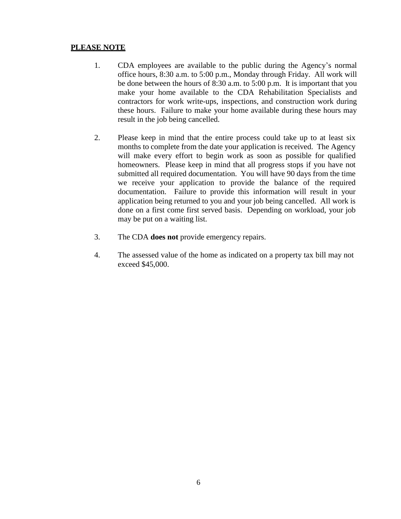#### **PLEASE NOTE**

- 1. CDA employees are available to the public during the Agency's normal office hours, 8:30 a.m. to 5:00 p.m., Monday through Friday. All work will be done between the hours of 8:30 a.m. to 5:00 p.m. It is important that you make your home available to the CDA Rehabilitation Specialists and contractors for work write-ups, inspections, and construction work during these hours. Failure to make your home available during these hours may result in the job being cancelled.
- 2. Please keep in mind that the entire process could take up to at least six months to complete from the date your application is received. The Agency will make every effort to begin work as soon as possible for qualified homeowners. Please keep in mind that all progress stops if you have not submitted all required documentation. You will have 90 days from the time we receive your application to provide the balance of the required documentation. Failure to provide this information will result in your application being returned to you and your job being cancelled. All work is done on a first come first served basis. Depending on workload, your job may be put on a waiting list.
- 3. The CDA **does not** provide emergency repairs.
- 4. The assessed value of the home as indicated on a property tax bill may not exceed \$45,000.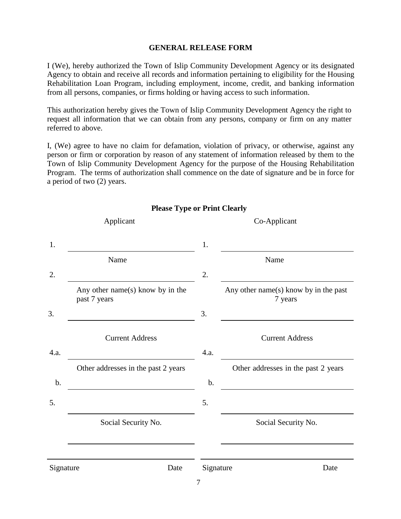#### **GENERAL RELEASE FORM**

I (We), hereby authorized the Town of Islip Community Development Agency or its designated Agency to obtain and receive all records and information pertaining to eligibility for the Housing Rehabilitation Loan Program, including employment, income, credit, and banking information from all persons, companies, or firms holding or having access to such information.

This authorization hereby gives the Town of Islip Community Development Agency the right to request all information that we can obtain from any persons, company or firm on any matter referred to above.

I, (We) agree to have no claim for defamation, violation of privacy, or otherwise, against any person or firm or corporation by reason of any statement of information released by them to the Town of Islip Community Development Agency for the purpose of the Housing Rehabilitation Program. The terms of authorization shall commence on the date of signature and be in force for a period of two (2) years.

|           | Applicant                                        | Co-Applicant |                                                  |  |  |  |  |  |
|-----------|--------------------------------------------------|--------------|--------------------------------------------------|--|--|--|--|--|
| 1.        |                                                  | 1.           |                                                  |  |  |  |  |  |
|           | Name                                             |              | Name                                             |  |  |  |  |  |
| 2.        |                                                  | 2.           |                                                  |  |  |  |  |  |
|           | Any other name(s) know by in the<br>past 7 years |              | Any other name(s) know by in the past<br>7 years |  |  |  |  |  |
| 3.        |                                                  | 3.           |                                                  |  |  |  |  |  |
|           | <b>Current Address</b>                           |              | <b>Current Address</b>                           |  |  |  |  |  |
| 4.a.      |                                                  | 4.a.         |                                                  |  |  |  |  |  |
|           | Other addresses in the past 2 years              |              | Other addresses in the past 2 years              |  |  |  |  |  |
| b.        |                                                  | b.           |                                                  |  |  |  |  |  |
| 5.        |                                                  | 5.           |                                                  |  |  |  |  |  |
|           | Social Security No.                              |              | Social Security No.                              |  |  |  |  |  |
|           |                                                  |              |                                                  |  |  |  |  |  |
| Signature | Date                                             | Signature    | Date                                             |  |  |  |  |  |
|           |                                                  | $\tau$       |                                                  |  |  |  |  |  |

#### **Please Type or Print Clearly**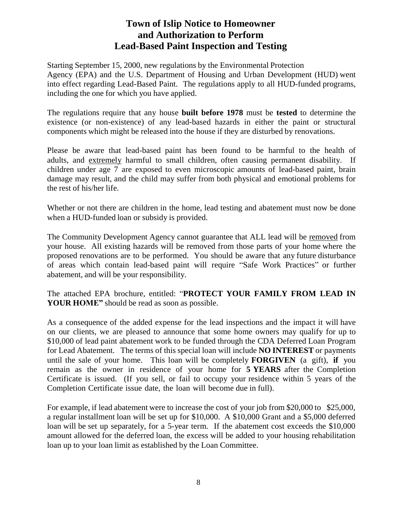### **Town of Islip Notice to Homeowner and Authorization to Perform Lead-Based Paint Inspection and Testing**

Starting September 15, 2000, new regulations by the Environmental Protection Agency (EPA) and the U.S. Department of Housing and Urban Development (HUD) went into effect regarding Lead-Based Paint. The regulations apply to all HUD-funded programs, including the one for which you have applied.

The regulations require that any house **built before 1978** must be **tested** to determine the existence (or non-existence) of any lead-based hazards in either the paint or structural components which might be released into the house if they are disturbed by renovations.

Please be aware that lead-based paint has been found to be harmful to the health of adults, and extremely harmful to small children, often causing permanent disability. If children under age 7 are exposed to even microscopic amounts of lead-based paint, brain damage may result, and the child may suffer from both physical and emotional problems for the rest of his/her life.

Whether or not there are children in the home, lead testing and abatement must now be done when a HUD-funded loan or subsidy is provided.

The Community Development Agency cannot guarantee that ALL lead will be removed from your house. All existing hazards will be removed from those parts of your home where the proposed renovations are to be performed. You should be aware that any future disturbance of areas which contain lead-based paint will require "Safe Work Practices" or further abatement, and will be your responsibility.

The attached EPA brochure, entitled: "**PROTECT YOUR FAMILY FROM LEAD IN YOUR HOME"** should be read as soon as possible.

As a consequence of the added expense for the lead inspections and the impact it will have on our clients, we are pleased to announce that some home owners may qualify for up to \$10,000 of lead paint abatement work to be funded through the CDA Deferred Loan Program for Lead Abatement. The terms of this special loan will include **NO INTEREST** or payments until the sale of your home. This loan will be completely **FORGIVEN** (a gift), **if** you remain as the owner in residence of your home for **5 YEARS** after the Completion Certificate is issued. (If you sell, or fail to occupy your residence within 5 years of the Completion Certificate issue date, the loan will become due in full).

For example, if lead abatement were to increase the cost of your job from \$20,000 to \$25,000, a regular installment loan will be set up for \$10,000. A \$10,000 Grant and a \$5,000 deferred loan will be set up separately, for a 5-year term. If the abatement cost exceeds the \$10,000 amount allowed for the deferred loan, the excess will be added to your housing rehabilitation loan up to your loan limit as established by the Loan Committee.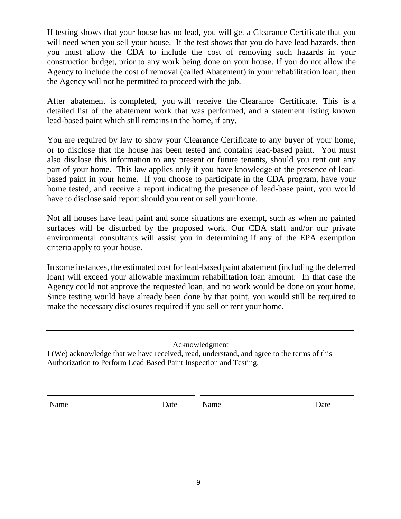If testing shows that your house has no lead, you will get a Clearance Certificate that you will need when you sell your house. If the test shows that you do have lead hazards, then you must allow the CDA to include the cost of removing such hazards in your construction budget, prior to any work being done on your house. If you do not allow the Agency to include the cost of removal (called Abatement) in your rehabilitation loan, then the Agency will not be permitted to proceed with the job.

After abatement is completed, you will receive the Clearance Certificate. This is a detailed list of the abatement work that was performed, and a statement listing known lead-based paint which still remains in the home, if any.

You are required by law to show your Clearance Certificate to any buyer of your home, or to disclose that the house has been tested and contains lead-based paint. You must also disclose this information to any present or future tenants, should you rent out any part of your home. This law applies only if you have knowledge of the presence of leadbased paint in your home. If you choose to participate in the CDA program, have your home tested, and receive a report indicating the presence of lead-base paint, you would have to disclose said report should you rent or sell your home.

Not all houses have lead paint and some situations are exempt, such as when no painted surfaces will be disturbed by the proposed work. Our CDA staff and/or our private environmental consultants will assist you in determining if any of the EPA exemption criteria apply to your house.

In some instances, the estimated cost for lead-based paint abatement (including the deferred loan) will exceed your allowable maximum rehabilitation loan amount. In that case the Agency could not approve the requested loan, and no work would be done on your home. Since testing would have already been done by that point, you would still be required to make the necessary disclosures required if you sell or rent your home.

Acknowledgment

I (We) acknowledge that we have received, read, understand, and agree to the terms of this Authorization to Perform Lead Based Paint Inspection and Testing.

Name Date Name Date Name